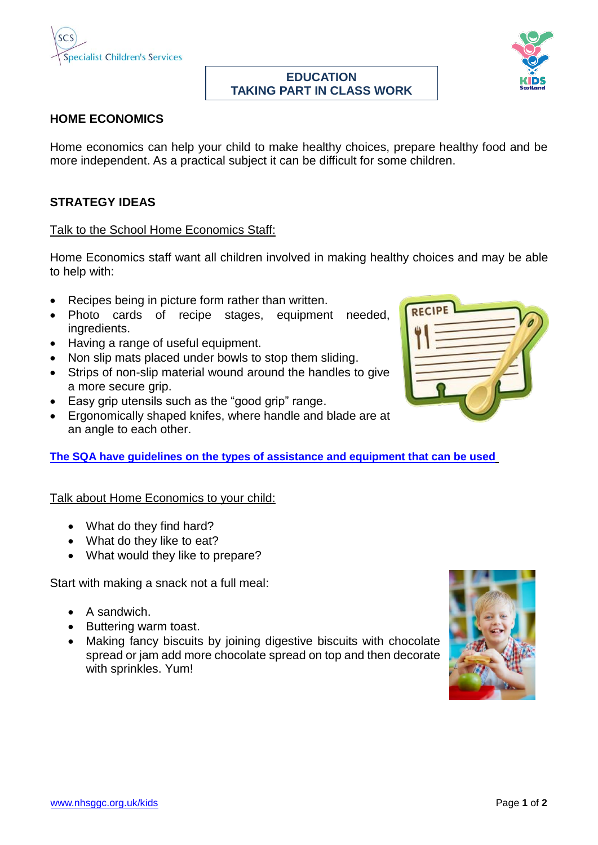

### **EDUCATION TAKING PART IN CLASS WORK**



# **HOME ECONOMICS**

Home economics can help your child to make healthy choices, prepare healthy food and be more independent. As a practical subject it can be difficult for some children.

## **STRATEGY IDEAS**

### Talk to the School Home Economics Staff:

Home Economics staff want all children involved in making healthy choices and may be able to help with:

- Recipes being in picture form rather than written.
- Photo cards of recipe stages, equipment needed, ingredients.
- Having a range of useful equipment.
- Non slip mats placed under bowls to stop them sliding.
- Strips of non-slip material wound around the handles to give a more secure grip.
- Easy grip utensils such as the "good grip" range.
- Ergonomically shaped knifes, where handle and blade are at an angle to each other.

**[The SQA have guidelines on the types of assistance and equipment that can be used](http://www.sqa.org.uk/sqa/45738.html)**

### Talk about Home Economics to your child:

- What do they find hard?
- What do they like to eat?
- What would they like to prepare?

Start with making a snack not a full meal:

- $\bullet$  A sandwich.
- Buttering warm toast.
- Making fancy biscuits by joining digestive biscuits with chocolate spread or jam add more chocolate spread on top and then decorate with sprinkles. Yum!